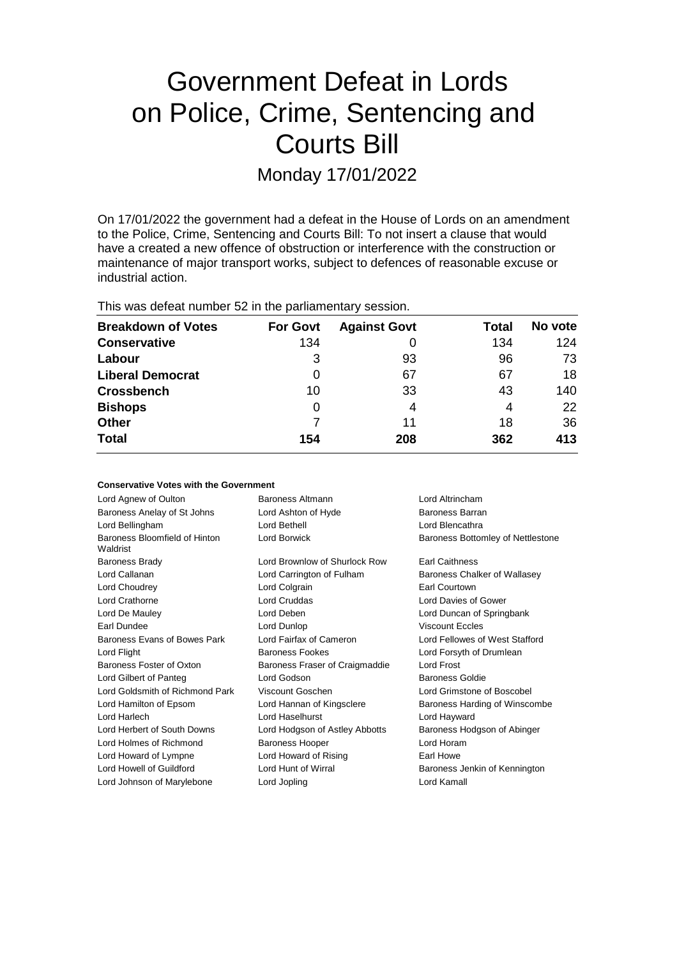# Government Defeat in Lords on Police, Crime, Sentencing and Courts Bill

Monday 17/01/2022

On 17/01/2022 the government had a defeat in the House of Lords on an amendment to the Police, Crime, Sentencing and Courts Bill: To not insert a clause that would have a created a new offence of obstruction or interference with the construction or maintenance of major transport works, subject to defences of reasonable excuse or industrial action.

This was defeat number 52 in the parliamentary session.

| <b>Breakdown of Votes</b> | <b>For Govt</b> | <b>Against Govt</b> | Total | No vote |
|---------------------------|-----------------|---------------------|-------|---------|
| <b>Conservative</b>       | 134             |                     | 134   | 124     |
| Labour                    | 3               | 93                  | 96    | 73      |
| <b>Liberal Democrat</b>   | 0               | 67                  | 67    | 18      |
| <b>Crossbench</b>         | 10              | 33                  | 43    | 140     |
| <b>Bishops</b>            | 0               | 4                   | 4     | 22      |
| <b>Other</b>              |                 | 11                  | 18    | 36      |
| <b>Total</b>              | 154             | 208                 | 362   | 413     |

#### **Conservative Votes with the Government**

| Baroness Altmann               | Lord Altrincham                   |
|--------------------------------|-----------------------------------|
| Lord Ashton of Hyde            | Baroness Barran                   |
| Lord Bethell                   | Lord Blencathra                   |
| Lord Borwick                   | Baroness Bottomley of Nettlestone |
| Lord Brownlow of Shurlock Row  | <b>Earl Caithness</b>             |
| Lord Carrington of Fulham      | Baroness Chalker of Wallasey      |
| Lord Colgrain                  | Earl Courtown                     |
| Lord Cruddas                   | Lord Davies of Gower              |
| Lord Deben                     | Lord Duncan of Springbank         |
| Lord Dunlop                    | <b>Viscount Eccles</b>            |
| Lord Fairfax of Cameron        | Lord Fellowes of West Stafford    |
| <b>Baroness Fookes</b>         | Lord Forsyth of Drumlean          |
| Baroness Fraser of Craigmaddie | Lord Frost                        |
| Lord Godson                    | <b>Baroness Goldie</b>            |
| Viscount Goschen               | Lord Grimstone of Boscobel        |
| Lord Hannan of Kingsclere      | Baroness Harding of Winscombe     |
| Lord Haselhurst                | Lord Hayward                      |
| Lord Hodgson of Astley Abbotts | Baroness Hodgson of Abinger       |
| <b>Baroness Hooper</b>         | Lord Horam                        |
| Lord Howard of Rising          | Earl Howe                         |
| Lord Hunt of Wirral            | Baroness Jenkin of Kennington     |
| Lord Jopling                   | Lord Kamall                       |
|                                |                                   |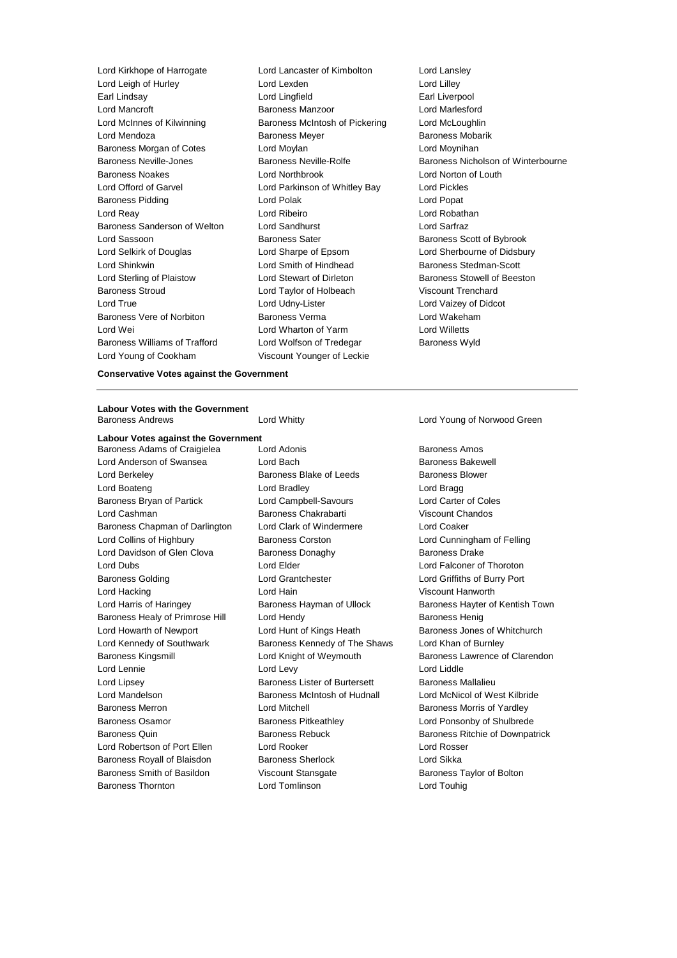Lord Leigh of Hurley Lord Lexden Lord Lilley Earl Lindsay Lord Lingfield Earl Liverpool Lord Mancroft Baroness Manzoor Lord Marlesford Lord McInnes of Kilwinning **Baroness McIntosh of Pickering** Lord McLoughlin Lord Mendoza **Baroness Meyer** Baroness Meyer Baroness Mobarik Baroness Morgan of Cotes **Lord Moylan** Lord Moynihan Lord Moynihan Baroness Noakes Lord Northbrook Lord Norton of Louth Lord Offord of Garvel Lord Parkinson of Whitley Bay Lord Pickles Baroness Pidding **Communist Communist Communist Communist Communist Communist Communist Communist Communist Communist Communist Communist Communist Communist Communist Communist Communist Communist Communist Communist Comm** Lord Reay Lord Ribeiro Lord Robathan Baroness Sanderson of Welton Lord Sandhurst Lord Sarfraz Lord Sassoon **Baroness Sater** Baroness Scott of Bybrook Lord Selkirk of Douglas Lord Sharpe of Epsom Lord Sherbourne of Didsbury Lord Shinkwin **Lord Smith of Hindhead** Baroness Stedman-Scott Lord Sterling of Plaistow Lord Stewart of Dirleton Baroness Stowell of Beeston Baroness Stroud Lord Taylor of Holbeach Viscount Trenchard Lord True Lord Udny-Lister Lord Vaizey of Didcot Baroness Vere of Norbiton Baroness Verma Lord Wakeham Lord Wei Lord Wharton of Yarm Cord Whate Lord Wei<br>Baroness Williams of Trafford Lord Wolfson of Tredegar Baroness Wy Baroness Williams of Trafford Lord Wolfson of Tredegar Baroness Wyld Lord Young of Cookham Viscount Younger of Leckie

Lord Kirkhope of Harrogate Lord Lancaster of Kimbolton Lord Lansley

Baroness Neville-Jones Baroness Neville-Rolfe Baroness Nicholson of Winterbourne

**Conservative Votes against the Government**

# **Labour Votes with the Government**

**Labour Votes against the Government**

Baroness Adams of Craigielea Lord Adonis **Baroness Amos** Baroness Amos Lord Anderson of Swansea **Lord Bach Baroness Bakewell Baroness Bakewell** Lord Berkeley **Baroness Blake of Leeds** Baroness Blower Lord Boateng **Lord Bradley** Lord Bradley **Lord Bragg** Baroness Bryan of Partick Lord Campbell-Savours Lord Carter of Coles Lord Cashman Baroness Chakrabarti Viscount Chandos Baroness Chapman of Darlington Lord Clark of Windermere Lord Coaker Lord Collins of Highbury Baroness Corston Lord Cunningham of Felling Lord Davidson of Glen Clova Baroness Donaghy Baroness Davidson Baroness Drake Lord Dubs Lord Elder Lord Falconer of Thoroton Baroness Golding Lord Grantchester Lord Griffiths of Burry Port Lord Hacking Lord Hain Viscount Hanworth Lord Harris of Haringey **Baroness Hayman of Ullock** Baroness Hayter of Kentish Town Baroness Healy of Primrose Hill Lord Hendy **Baroness Henig** Baroness Henig Lord Howarth of Newport Lord Hunt of Kings Heath Baroness Jones of Whitchurch Lord Kennedy of Southwark **Baroness Kennedy of The Shaws** Lord Khan of Burnley Baroness Kingsmill Lord Knight of Weymouth Baroness Lawrence of Clarendon Lord Lennie Lord Levy Lord Liddle Lord Lipsey **Baroness Lister of Burtersett** Baroness Mallalieu Lord Mandelson **Baroness McIntosh of Hudnall** Lord McNicol of West Kilbride Baroness Merron **Baroness Morton Lord Mitchell Baroness Morris of Yardley** Baroness Osamor Baroness Pitkeathley Lord Ponsonby of Shulbrede Baroness Quin **Baroness Rebuck** Baroness Rebuck Baroness Ritchie of Downpatrick Lord Robertson of Port Ellen Lord Rooker Lord Rosser Baroness Royall of Blaisdon Baroness Sherlock Lord Sikka Baroness Smith of Basildon Viscount Stansgate Baroness Taylor of Bolton Baroness Thornton Lord Tomlinson Lord Touhig

Lord Whitty **Lord Young of Norwood Green**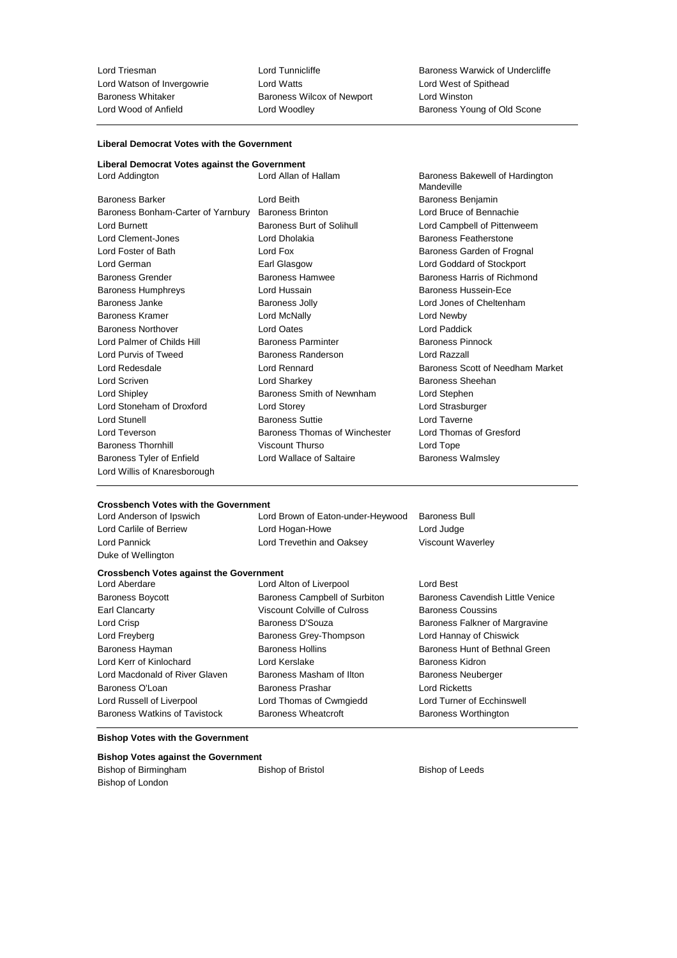Lord Triesman **Lord Tunnicliffe** Baroness Warwick of Undercliffe Lord Watson of Invergowrie Lord Watts<br>
Baroness Whitaker Baroness Wilcox of Newport Lord Winston<br>
Lord Winston Baroness Whitaker Baroness Wilcox of Newport<br>
Lord Wood of Anfield<br>
Lord Woodley

Baroness Young of Old Scone

# **Liberal Democrat Votes with the Government**

## **Liberal Democrat Votes against the Government**

| Lord Addington                     | Lord Allan of Hallam          | Baroness Bakewell of Hardington<br>Mandeville |
|------------------------------------|-------------------------------|-----------------------------------------------|
| <b>Baroness Barker</b>             | Lord Beith                    | Baroness Benjamin                             |
| Baroness Bonham-Carter of Yarnbury | <b>Baroness Brinton</b>       | Lord Bruce of Bennachie                       |
| Lord Burnett                       | Baroness Burt of Solihull     | Lord Campbell of Pittenweem                   |
| Lord Clement-Jones                 | Lord Dholakia                 | Baroness Featherstone                         |
| Lord Foster of Bath                | Lord Fox                      | Baroness Garden of Frognal                    |
| Lord German                        | Earl Glasgow                  | Lord Goddard of Stockport                     |
| <b>Baroness Grender</b>            | Baroness Hamwee               | Baroness Harris of Richmond                   |
| <b>Baroness Humphreys</b>          | Lord Hussain                  | Baroness Hussein-Ece                          |
| Baroness Janke                     | <b>Baroness Jolly</b>         | Lord Jones of Cheltenham                      |
| Baroness Kramer                    | Lord McNally                  | Lord Newby                                    |
| <b>Baroness Northover</b>          | <b>Lord Oates</b>             | Lord Paddick                                  |
| Lord Palmer of Childs Hill         | <b>Baroness Parminter</b>     | <b>Baroness Pinnock</b>                       |
| Lord Purvis of Tweed               | Baroness Randerson            | Lord Razzall                                  |
| Lord Redesdale                     | Lord Rennard                  | Baroness Scott of Needham Market              |
| Lord Scriven                       | Lord Sharkey                  | Baroness Sheehan                              |
| Lord Shipley                       | Baroness Smith of Newnham     | Lord Stephen                                  |
| Lord Stoneham of Droxford          | Lord Storey                   | Lord Strasburger                              |
| <b>Lord Stunell</b>                | <b>Baroness Suttie</b>        | Lord Taverne                                  |
| Lord Teverson                      | Baroness Thomas of Winchester | Lord Thomas of Gresford                       |
| <b>Baroness Thornhill</b>          | Viscount Thurso               | Lord Tope                                     |
| Baroness Tyler of Enfield          | Lord Wallace of Saltaire      | Baroness Walmsley                             |
| Lord Willis of Knaresborough       |                               |                                               |

#### **Crossbench Votes with the Government**

| Lord Anderson of Ipswich                       | Lord Brown of Eaton-under-Heywood | <b>Baroness Bull</b>             |
|------------------------------------------------|-----------------------------------|----------------------------------|
| Lord Carlile of Berriew                        | Lord Hogan-Howe                   | Lord Judge                       |
| Lord Pannick                                   | Lord Trevethin and Oaksey         | <b>Viscount Waverley</b>         |
| Duke of Wellington                             |                                   |                                  |
| <b>Crossbench Votes against the Government</b> |                                   |                                  |
| Lord Aberdare                                  | Lord Alton of Liverpool           | Lord Best                        |
| <b>Baroness Boycott</b>                        | Baroness Campbell of Surbiton     | Baroness Cavendish Little Venice |
| Earl Clancarty                                 | Viscount Colville of Culross      | <b>Baroness Coussins</b>         |
| Lord Crisp                                     | Baroness D'Souza                  | Baroness Falkner of Margravine   |
| Lord Freyberg                                  | Baroness Grey-Thompson            | Lord Hannay of Chiswick          |
| Baroness Hayman                                | <b>Baroness Hollins</b>           | Baroness Hunt of Bethnal Green   |
| Lord Kerr of Kinlochard                        | Lord Kerslake                     | Baroness Kidron                  |
| Lord Macdonald of River Glaven                 | Baroness Masham of Ilton          | <b>Baroness Neuberger</b>        |
| Baroness O'Loan                                | Baroness Prashar                  | Lord Ricketts                    |
| Lord Russell of Liverpool                      | Lord Thomas of Cwmgiedd           | Lord Turner of Ecchinswell       |
| Baroness Watkins of Tavistock                  | Baroness Wheatcroft               | <b>Baroness Worthington</b>      |
|                                                |                                   |                                  |

## **Bishop Votes with the Government**

| <b>Bishop Votes against the Government</b> |                          |  |  |  |
|--------------------------------------------|--------------------------|--|--|--|
| Bishop of Birmingham                       | <b>Bishop of Bristol</b> |  |  |  |
| Bishop of London                           |                          |  |  |  |

Bishop of Leeds